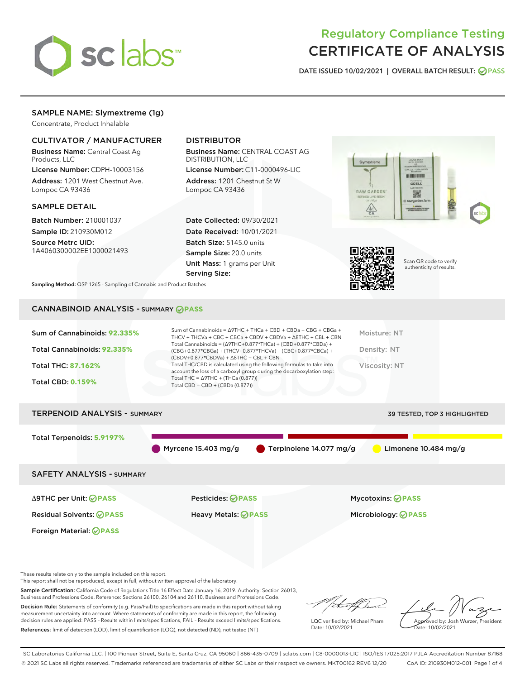

# Regulatory Compliance Testing CERTIFICATE OF ANALYSIS

DATE ISSUED 10/02/2021 | OVERALL BATCH RESULT: @ PASS

# SAMPLE NAME: Slymextreme (1g)

Concentrate, Product Inhalable

# CULTIVATOR / MANUFACTURER

Business Name: Central Coast Ag Products, LLC

License Number: CDPH-10003156 Address: 1201 West Chestnut Ave. Lompoc CA 93436

#### SAMPLE DETAIL

Batch Number: 210001037 Sample ID: 210930M012

Source Metrc UID: 1A4060300002EE1000021493

# DISTRIBUTOR

Business Name: CENTRAL COAST AG DISTRIBUTION, LLC

License Number: C11-0000496-LIC Address: 1201 Chestnut St W Lompoc CA 93436

Date Collected: 09/30/2021 Date Received: 10/01/2021 Batch Size: 5145.0 units Sample Size: 20.0 units Unit Mass: 1 grams per Unit Serving Size:





Scan QR code to verify authenticity of results.

Sampling Method: QSP 1265 - Sampling of Cannabis and Product Batches

# CANNABINOID ANALYSIS - SUMMARY **PASS**

| Sum of Cannabinoids: 92.335%<br>Total Cannabinoids: 92.335%<br><b>Total THC: 87.162%</b><br><b>Total CBD: 0.159%</b> | Sum of Cannabinoids = $\triangle$ 9THC + THCa + CBD + CBDa + CBG + CBGa +<br>THCV + THCVa + CBC + CBCa + CBDV + CBDVa + $\Delta$ 8THC + CBL + CBN<br>Total Cannabinoids = $(\Delta$ 9THC+0.877*THCa) + (CBD+0.877*CBDa) +<br>(CBG+0.877*CBGa) + (THCV+0.877*THCVa) + (CBC+0.877*CBCa) +<br>$(CBDV+0.877*CBDVa) + \Delta 8THC + CBL + CBN$<br>Total THC/CBD is calculated using the following formulas to take into<br>account the loss of a carboxyl group during the decarboxylation step:<br>Total THC = $\triangle$ 9THC + (THCa (0.877))<br>Total CBD = $CBD + (CBDa (0.877))$ | Moisture: NT<br>Density: NT<br>Viscosity: NT |  |  |
|----------------------------------------------------------------------------------------------------------------------|------------------------------------------------------------------------------------------------------------------------------------------------------------------------------------------------------------------------------------------------------------------------------------------------------------------------------------------------------------------------------------------------------------------------------------------------------------------------------------------------------------------------------------------------------------------------------------|----------------------------------------------|--|--|
| <b>TERPENOID ANALYSIS - SUMMARY</b><br><b>39 TESTED. TOP 3 HIGHLIGHTED</b>                                           |                                                                                                                                                                                                                                                                                                                                                                                                                                                                                                                                                                                    |                                              |  |  |

Total Terpenoids: **5.9197%**

Myrcene 15.403 mg/g  $\bullet$  Terpinolene 14.077 mg/g  $\bullet$  Limonene 10.484 mg/g

SAFETY ANALYSIS - SUMMARY

Δ9THC per Unit: **PASS** Pesticides: **PASS** Mycotoxins: **PASS**

Foreign Material: **PASS**

Residual Solvents: **PASS** Heavy Metals: **PASS** Microbiology: **PASS**

These results relate only to the sample included on this report.

This report shall not be reproduced, except in full, without written approval of the laboratory.

Sample Certification: California Code of Regulations Title 16 Effect Date January 16, 2019. Authority: Section 26013, Business and Professions Code. Reference: Sections 26100, 26104 and 26110, Business and Professions Code.

Decision Rule: Statements of conformity (e.g. Pass/Fail) to specifications are made in this report without taking measurement uncertainty into account. Where statements of conformity are made in this report, the following decision rules are applied: PASS – Results within limits/specifications, FAIL – Results exceed limits/specifications. References: limit of detection (LOD), limit of quantification (LOQ), not detected (ND), not tested (NT)

that f

LQC verified by: Michael Pham Date: 10/02/2021

Approved by: Josh Wurzer, President ate: 10/02/2021

SC Laboratories California LLC. | 100 Pioneer Street, Suite E, Santa Cruz, CA 95060 | 866-435-0709 | sclabs.com | C8-0000013-LIC | ISO/IES 17025:2017 PJLA Accreditation Number 87168 © 2021 SC Labs all rights reserved. Trademarks referenced are trademarks of either SC Labs or their respective owners. MKT00162 REV6 12/20 CoA ID: 210930M012-001 Page 1 of 4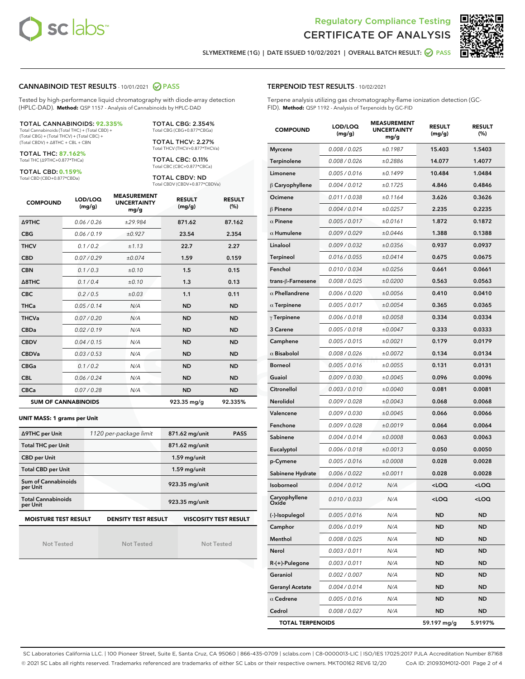



SLYMEXTREME (1G) | DATE ISSUED 10/02/2021 | OVERALL BATCH RESULT: @ PASS

#### CANNABINOID TEST RESULTS - 10/01/2021 2 PASS

Tested by high-performance liquid chromatography with diode-array detection (HPLC-DAD). **Method:** QSP 1157 - Analysis of Cannabinoids by HPLC-DAD

#### TOTAL CANNABINOIDS: **92.335%**

Total Cannabinoids (Total THC) + (Total CBD) + (Total CBG) + (Total THCV) + (Total CBC) + (Total CBDV) + ∆8THC + CBL + CBN

TOTAL THC: **87.162%** Total THC (∆9THC+0.877\*THCa)

TOTAL CBD: **0.159%**

Total CBD (CBD+0.877\*CBDa)

TOTAL CBG: 2.354% Total CBG (CBG+0.877\*CBGa)

TOTAL THCV: 2.27% Total THCV (THCV+0.877\*THCVa)

TOTAL CBC: 0.11% Total CBC (CBC+0.877\*CBCa)

TOTAL CBDV: ND Total CBDV (CBDV+0.877\*CBDVa)

| <b>COMPOUND</b>            | LOD/LOQ<br>(mg/g) | <b>MEASUREMENT</b><br><b>UNCERTAINTY</b><br>mg/g | <b>RESULT</b><br>(mg/g) | <b>RESULT</b><br>(%) |
|----------------------------|-------------------|--------------------------------------------------|-------------------------|----------------------|
| Δ9THC                      | 0.06/0.26         | ±29.984                                          | 871.62                  | 87.162               |
| <b>CBG</b>                 | 0.06 / 0.19       | ±0.927                                           | 23.54                   | 2.354                |
| <b>THCV</b>                | 0.1 / 0.2         | ±1.13                                            | 22.7                    | 2.27                 |
| <b>CBD</b>                 | 0.07/0.29         | ±0.074                                           | 1.59                    | 0.159                |
| <b>CBN</b>                 | 0.1/0.3           | ±0.10                                            | 1.5                     | 0.15                 |
| $\triangle$ 8THC           | 0.1/0.4           | ±0.10                                            | 1.3                     | 0.13                 |
| <b>CBC</b>                 | 0.2 / 0.5         | $\pm 0.03$                                       | 1.1                     | 0.11                 |
| <b>THCa</b>                | 0.05/0.14         | N/A                                              | <b>ND</b>               | <b>ND</b>            |
| <b>THCVa</b>               | 0.07 / 0.20       | N/A                                              | <b>ND</b>               | <b>ND</b>            |
| <b>CBDa</b>                | 0.02/0.19         | N/A                                              | <b>ND</b>               | <b>ND</b>            |
| <b>CBDV</b>                | 0.04 / 0.15       | N/A                                              | <b>ND</b>               | <b>ND</b>            |
| <b>CBDVa</b>               | 0.03/0.53         | N/A                                              | <b>ND</b>               | <b>ND</b>            |
| <b>CBGa</b>                | 0.1/0.2           | N/A                                              | <b>ND</b>               | <b>ND</b>            |
| <b>CBL</b>                 | 0.06 / 0.24       | N/A                                              | <b>ND</b>               | <b>ND</b>            |
| <b>CBCa</b>                | 0.07 / 0.28       | N/A                                              | <b>ND</b>               | <b>ND</b>            |
| <b>SUM OF CANNABINOIDS</b> |                   |                                                  | 923.35 mg/g             | 92.335%              |

#### **UNIT MASS: 1 grams per Unit**

| ∆9THC per Unit                                                                            | 1120 per-package limit | 871.62 mg/unit<br><b>PASS</b> |  |  |  |
|-------------------------------------------------------------------------------------------|------------------------|-------------------------------|--|--|--|
| <b>Total THC per Unit</b>                                                                 |                        | 871.62 mg/unit                |  |  |  |
| <b>CBD per Unit</b>                                                                       |                        | $1.59$ mg/unit                |  |  |  |
| <b>Total CBD per Unit</b>                                                                 |                        | $1.59$ mg/unit                |  |  |  |
| Sum of Cannabinoids<br>per Unit                                                           |                        | 923.35 mg/unit                |  |  |  |
| <b>Total Cannabinoids</b><br>per Unit                                                     |                        | 923.35 mg/unit                |  |  |  |
| <b>MOISTURE TEST RESULT</b><br><b>VISCOSITY TEST RESULT</b><br><b>DENSITY TEST RESULT</b> |                        |                               |  |  |  |

Not Tested

Not Tested

Not Tested

#### TERPENOID TEST RESULTS - 10/02/2021

Terpene analysis utilizing gas chromatography-flame ionization detection (GC-FID). **Method:** QSP 1192 - Analysis of Terpenoids by GC-FID

| <b>COMPOUND</b>         | LOD/LOQ<br>(mg/g) | <b>MEASUREMENT</b><br><b>UNCERTAINTY</b><br>mg/g | <b>RESULT</b><br>(mg/g)                         | <b>RESULT</b><br>(%) |
|-------------------------|-------------------|--------------------------------------------------|-------------------------------------------------|----------------------|
| <b>Myrcene</b>          | 0.008 / 0.025     | ±0.1987                                          | 15.403                                          | 1.5403               |
| Terpinolene             | 0.008 / 0.026     | ±0.2886                                          | 14.077                                          | 1.4077               |
| Limonene                | 0.005 / 0.016     | ±0.1499                                          | 10.484                                          | 1.0484               |
| $\beta$ Caryophyllene   | 0.004 / 0.012     | ±0.1725                                          | 4.846                                           | 0.4846               |
| Ocimene                 | 0.011 / 0.038     | ±0.1164                                          | 3.626                                           | 0.3626               |
| $\beta$ Pinene          | 0.004 / 0.014     | ±0.0257                                          | 2.235                                           | 0.2235               |
| $\alpha$ Pinene         | 0.005 / 0.017     | ±0.0161                                          | 1.872                                           | 0.1872               |
| $\alpha$ Humulene       | 0.009 / 0.029     | ±0.0446                                          | 1.388                                           | 0.1388               |
| Linalool                | 0.009 / 0.032     | ±0.0356                                          | 0.937                                           | 0.0937               |
| Terpineol               | 0.016 / 0.055     | ±0.0414                                          | 0.675                                           | 0.0675               |
| Fenchol                 | 0.010 / 0.034     | ±0.0256                                          | 0.661                                           | 0.0661               |
| trans-ß-Farnesene       | 0.008 / 0.025     | ±0.0200                                          | 0.563                                           | 0.0563               |
| $\alpha$ Phellandrene   | 0.006 / 0.020     | ±0.0056                                          | 0.410                                           | 0.0410               |
| $\alpha$ Terpinene      | 0.005 / 0.017     | ±0.0054                                          | 0.365                                           | 0.0365               |
| $\gamma$ Terpinene      | 0.006 / 0.018     | ±0.0058                                          | 0.334                                           | 0.0334               |
| 3 Carene                | 0.005 / 0.018     | ±0.0047                                          | 0.333                                           | 0.0333               |
| Camphene                | 0.005 / 0.015     | ±0.0021                                          | 0.179                                           | 0.0179               |
| $\alpha$ Bisabolol      | 0.008 / 0.026     | ±0.0072                                          | 0.134                                           | 0.0134               |
| <b>Borneol</b>          | 0.005 / 0.016     | ±0.0055                                          | 0.131                                           | 0.0131               |
| Guaiol                  | 0.009 / 0.030     | ±0.0045                                          | 0.096                                           | 0.0096               |
| Citronellol             | 0.003 / 0.010     | ±0.0040                                          | 0.081                                           | 0.0081               |
| <b>Nerolidol</b>        | 0.009 / 0.028     | ±0.0043                                          | 0.068                                           | 0.0068               |
| Valencene               | 0.009 / 0.030     | ±0.0045                                          | 0.066                                           | 0.0066               |
| Fenchone                | 0.009 / 0.028     | ±0.0019                                          | 0.064                                           | 0.0064               |
| Sabinene                | 0.004 / 0.014     | ±0.0008                                          | 0.063                                           | 0.0063               |
| Eucalyptol              | 0.006 / 0.018     | ±0.0013                                          | 0.050                                           | 0.0050               |
| p-Cymene                | 0.005 / 0.016     | ±0.0008                                          | 0.028                                           | 0.0028               |
| Sabinene Hydrate        | 0.006 / 0.022     | ±0.0011                                          | 0.028                                           | 0.0028               |
| Isoborneol              | 0.004 / 0.012     | N/A                                              | <loq< th=""><th><loq< th=""></loq<></th></loq<> | <loq< th=""></loq<>  |
| Caryophyllene           | 0.010 / 0.033     | N/A                                              | <loq< th=""><th><loq< th=""></loq<></th></loq<> | <loq< th=""></loq<>  |
| (-)-Isopulegol          | 0.005 / 0.016     | N/A                                              | ND                                              | <b>ND</b>            |
| Camphor                 | 0.006 / 0.019     | N/A                                              | ND                                              | ND                   |
| Menthol                 | 0.008 / 0.025     | N/A                                              | ND                                              | <b>ND</b>            |
| Nerol                   | 0.003 / 0.011     | N/A                                              | ND                                              | ND                   |
| R-(+)-Pulegone          | 0.003 / 0.011     | N/A                                              | ND                                              | ND                   |
| Geraniol                | 0.002 / 0.007     | N/A                                              | ND                                              | <b>ND</b>            |
| <b>Geranyl Acetate</b>  | 0.004 / 0.014     | N/A                                              | ND                                              | ND                   |
| $\alpha$ Cedrene        | 0.005 / 0.016     | N/A                                              | ND                                              | ND                   |
| Cedrol                  | 0.008 / 0.027     | N/A                                              | ND                                              | ND                   |
| <b>TOTAL TERPENOIDS</b> |                   |                                                  | 59.197 mg/g                                     | 5.9197%              |

SC Laboratories California LLC. | 100 Pioneer Street, Suite E, Santa Cruz, CA 95060 | 866-435-0709 | sclabs.com | C8-0000013-LIC | ISO/IES 17025:2017 PJLA Accreditation Number 87168 © 2021 SC Labs all rights reserved. Trademarks referenced are trademarks of either SC Labs or their respective owners. MKT00162 REV6 12/20 CoA ID: 210930M012-001 Page 2 of 4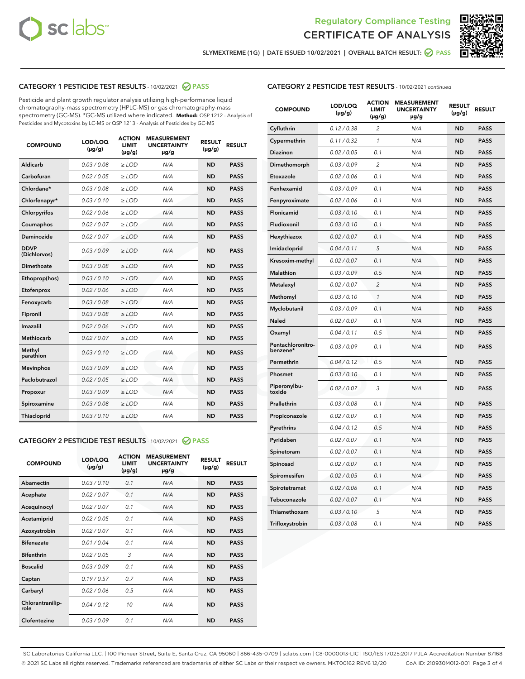



SLYMEXTREME (1G) | DATE ISSUED 10/02/2021 | OVERALL BATCH RESULT: 2 PASS

# CATEGORY 1 PESTICIDE TEST RESULTS - 10/02/2021 2 PASS

Pesticide and plant growth regulator analysis utilizing high-performance liquid chromatography-mass spectrometry (HPLC-MS) or gas chromatography-mass spectrometry (GC-MS). \*GC-MS utilized where indicated. **Method:** QSP 1212 - Analysis of Pesticides and Mycotoxins by LC-MS or QSP 1213 - Analysis of Pesticides by GC-MS

| 0.03 / 0.08<br><b>ND</b><br><b>PASS</b><br>Aldicarb<br>$\ge$ LOD<br>N/A<br>Carbofuran<br>0.02 / 0.05<br>$\ge$ LOD<br>N/A<br><b>ND</b><br><b>PASS</b><br>Chlordane*<br>0.03 / 0.08<br>$\ge$ LOD<br>N/A<br><b>ND</b><br><b>PASS</b><br>Chlorfenapyr*<br>0.03/0.10<br>$\ge$ LOD<br>N/A<br><b>ND</b><br><b>PASS</b><br>Chlorpyrifos<br>0.02 / 0.06<br>N/A<br><b>ND</b><br><b>PASS</b><br>$\ge$ LOD<br>Coumaphos<br>0.02 / 0.07<br>N/A<br><b>ND</b><br><b>PASS</b><br>$\ge$ LOD<br>Daminozide<br>0.02 / 0.07<br>N/A<br><b>ND</b><br><b>PASS</b><br>$\ge$ LOD<br><b>DDVP</b><br>0.03/0.09<br>$>$ LOD<br>N/A<br><b>ND</b><br><b>PASS</b><br>(Dichlorvos)<br>Dimethoate<br>0.03 / 0.08<br>$\ge$ LOD<br><b>ND</b><br><b>PASS</b><br>N/A<br>0.03/0.10<br>N/A<br><b>ND</b><br><b>PASS</b><br>Ethoprop(hos)<br>$>$ LOD<br>N/A<br><b>ND</b><br><b>PASS</b><br>Etofenprox<br>0.02 / 0.06<br>$\ge$ LOD<br>Fenoxycarb<br>0.03 / 0.08<br>$\ge$ LOD<br>N/A<br><b>ND</b><br><b>PASS</b><br>0.03 / 0.08<br>$\ge$ LOD<br>N/A<br><b>ND</b><br><b>PASS</b><br>Fipronil<br>Imazalil<br>0.02 / 0.06<br>$\geq$ LOD<br>N/A<br><b>ND</b><br><b>PASS</b><br><b>Methiocarb</b><br>0.02 / 0.07<br>$\ge$ LOD<br>N/A<br><b>ND</b><br><b>PASS</b><br>Methyl<br>0.03/0.10<br>N/A<br><b>ND</b><br><b>PASS</b><br>$\ge$ LOD<br>parathion<br>0.03/0.09<br><b>Mevinphos</b><br>$\ge$ LOD<br>N/A<br><b>ND</b><br><b>PASS</b><br>Paclobutrazol<br>0.02 / 0.05<br>$>$ LOD<br>N/A<br><b>ND</b><br><b>PASS</b><br>0.03 / 0.09<br>N/A<br>$\ge$ LOD<br><b>ND</b><br><b>PASS</b><br>Propoxur<br>0.03 / 0.08<br><b>ND</b><br><b>PASS</b><br>Spiroxamine<br>$\ge$ LOD<br>N/A<br>Thiacloprid<br>0.03/0.10<br>$\ge$ LOD<br>N/A<br><b>ND</b><br><b>PASS</b> | <b>COMPOUND</b> | LOD/LOQ<br>$(\mu g/g)$ | <b>ACTION</b><br><b>LIMIT</b><br>$(\mu g/g)$ | <b>MEASUREMENT</b><br><b>UNCERTAINTY</b><br>$\mu$ g/g | <b>RESULT</b><br>$(\mu g/g)$ | <b>RESULT</b> |
|---------------------------------------------------------------------------------------------------------------------------------------------------------------------------------------------------------------------------------------------------------------------------------------------------------------------------------------------------------------------------------------------------------------------------------------------------------------------------------------------------------------------------------------------------------------------------------------------------------------------------------------------------------------------------------------------------------------------------------------------------------------------------------------------------------------------------------------------------------------------------------------------------------------------------------------------------------------------------------------------------------------------------------------------------------------------------------------------------------------------------------------------------------------------------------------------------------------------------------------------------------------------------------------------------------------------------------------------------------------------------------------------------------------------------------------------------------------------------------------------------------------------------------------------------------------------------------------------------------------------------------------------------------------------------------------------------------|-----------------|------------------------|----------------------------------------------|-------------------------------------------------------|------------------------------|---------------|
|                                                                                                                                                                                                                                                                                                                                                                                                                                                                                                                                                                                                                                                                                                                                                                                                                                                                                                                                                                                                                                                                                                                                                                                                                                                                                                                                                                                                                                                                                                                                                                                                                                                                                                         |                 |                        |                                              |                                                       |                              |               |
|                                                                                                                                                                                                                                                                                                                                                                                                                                                                                                                                                                                                                                                                                                                                                                                                                                                                                                                                                                                                                                                                                                                                                                                                                                                                                                                                                                                                                                                                                                                                                                                                                                                                                                         |                 |                        |                                              |                                                       |                              |               |
|                                                                                                                                                                                                                                                                                                                                                                                                                                                                                                                                                                                                                                                                                                                                                                                                                                                                                                                                                                                                                                                                                                                                                                                                                                                                                                                                                                                                                                                                                                                                                                                                                                                                                                         |                 |                        |                                              |                                                       |                              |               |
|                                                                                                                                                                                                                                                                                                                                                                                                                                                                                                                                                                                                                                                                                                                                                                                                                                                                                                                                                                                                                                                                                                                                                                                                                                                                                                                                                                                                                                                                                                                                                                                                                                                                                                         |                 |                        |                                              |                                                       |                              |               |
|                                                                                                                                                                                                                                                                                                                                                                                                                                                                                                                                                                                                                                                                                                                                                                                                                                                                                                                                                                                                                                                                                                                                                                                                                                                                                                                                                                                                                                                                                                                                                                                                                                                                                                         |                 |                        |                                              |                                                       |                              |               |
|                                                                                                                                                                                                                                                                                                                                                                                                                                                                                                                                                                                                                                                                                                                                                                                                                                                                                                                                                                                                                                                                                                                                                                                                                                                                                                                                                                                                                                                                                                                                                                                                                                                                                                         |                 |                        |                                              |                                                       |                              |               |
|                                                                                                                                                                                                                                                                                                                                                                                                                                                                                                                                                                                                                                                                                                                                                                                                                                                                                                                                                                                                                                                                                                                                                                                                                                                                                                                                                                                                                                                                                                                                                                                                                                                                                                         |                 |                        |                                              |                                                       |                              |               |
|                                                                                                                                                                                                                                                                                                                                                                                                                                                                                                                                                                                                                                                                                                                                                                                                                                                                                                                                                                                                                                                                                                                                                                                                                                                                                                                                                                                                                                                                                                                                                                                                                                                                                                         |                 |                        |                                              |                                                       |                              |               |
|                                                                                                                                                                                                                                                                                                                                                                                                                                                                                                                                                                                                                                                                                                                                                                                                                                                                                                                                                                                                                                                                                                                                                                                                                                                                                                                                                                                                                                                                                                                                                                                                                                                                                                         |                 |                        |                                              |                                                       |                              |               |
|                                                                                                                                                                                                                                                                                                                                                                                                                                                                                                                                                                                                                                                                                                                                                                                                                                                                                                                                                                                                                                                                                                                                                                                                                                                                                                                                                                                                                                                                                                                                                                                                                                                                                                         |                 |                        |                                              |                                                       |                              |               |
|                                                                                                                                                                                                                                                                                                                                                                                                                                                                                                                                                                                                                                                                                                                                                                                                                                                                                                                                                                                                                                                                                                                                                                                                                                                                                                                                                                                                                                                                                                                                                                                                                                                                                                         |                 |                        |                                              |                                                       |                              |               |
|                                                                                                                                                                                                                                                                                                                                                                                                                                                                                                                                                                                                                                                                                                                                                                                                                                                                                                                                                                                                                                                                                                                                                                                                                                                                                                                                                                                                                                                                                                                                                                                                                                                                                                         |                 |                        |                                              |                                                       |                              |               |
|                                                                                                                                                                                                                                                                                                                                                                                                                                                                                                                                                                                                                                                                                                                                                                                                                                                                                                                                                                                                                                                                                                                                                                                                                                                                                                                                                                                                                                                                                                                                                                                                                                                                                                         |                 |                        |                                              |                                                       |                              |               |
|                                                                                                                                                                                                                                                                                                                                                                                                                                                                                                                                                                                                                                                                                                                                                                                                                                                                                                                                                                                                                                                                                                                                                                                                                                                                                                                                                                                                                                                                                                                                                                                                                                                                                                         |                 |                        |                                              |                                                       |                              |               |
|                                                                                                                                                                                                                                                                                                                                                                                                                                                                                                                                                                                                                                                                                                                                                                                                                                                                                                                                                                                                                                                                                                                                                                                                                                                                                                                                                                                                                                                                                                                                                                                                                                                                                                         |                 |                        |                                              |                                                       |                              |               |
|                                                                                                                                                                                                                                                                                                                                                                                                                                                                                                                                                                                                                                                                                                                                                                                                                                                                                                                                                                                                                                                                                                                                                                                                                                                                                                                                                                                                                                                                                                                                                                                                                                                                                                         |                 |                        |                                              |                                                       |                              |               |
|                                                                                                                                                                                                                                                                                                                                                                                                                                                                                                                                                                                                                                                                                                                                                                                                                                                                                                                                                                                                                                                                                                                                                                                                                                                                                                                                                                                                                                                                                                                                                                                                                                                                                                         |                 |                        |                                              |                                                       |                              |               |
|                                                                                                                                                                                                                                                                                                                                                                                                                                                                                                                                                                                                                                                                                                                                                                                                                                                                                                                                                                                                                                                                                                                                                                                                                                                                                                                                                                                                                                                                                                                                                                                                                                                                                                         |                 |                        |                                              |                                                       |                              |               |
|                                                                                                                                                                                                                                                                                                                                                                                                                                                                                                                                                                                                                                                                                                                                                                                                                                                                                                                                                                                                                                                                                                                                                                                                                                                                                                                                                                                                                                                                                                                                                                                                                                                                                                         |                 |                        |                                              |                                                       |                              |               |
|                                                                                                                                                                                                                                                                                                                                                                                                                                                                                                                                                                                                                                                                                                                                                                                                                                                                                                                                                                                                                                                                                                                                                                                                                                                                                                                                                                                                                                                                                                                                                                                                                                                                                                         |                 |                        |                                              |                                                       |                              |               |
|                                                                                                                                                                                                                                                                                                                                                                                                                                                                                                                                                                                                                                                                                                                                                                                                                                                                                                                                                                                                                                                                                                                                                                                                                                                                                                                                                                                                                                                                                                                                                                                                                                                                                                         |                 |                        |                                              |                                                       |                              |               |

#### CATEGORY 2 PESTICIDE TEST RESULTS - 10/02/2021 @ PASS

| <b>COMPOUND</b>          | LOD/LOO<br>$(\mu g/g)$ | <b>ACTION</b><br>LIMIT<br>$(\mu g/g)$ | <b>MEASUREMENT</b><br><b>UNCERTAINTY</b><br>µg/g | <b>RESULT</b><br>$(\mu g/g)$ | <b>RESULT</b> |
|--------------------------|------------------------|---------------------------------------|--------------------------------------------------|------------------------------|---------------|
| Abamectin                | 0.03/0.10              | 0.1                                   | N/A                                              | <b>ND</b>                    | <b>PASS</b>   |
| Acephate                 | 0.02/0.07              | 0.1                                   | N/A                                              | <b>ND</b>                    | <b>PASS</b>   |
| Acequinocyl              | 0.02/0.07              | 0.1                                   | N/A                                              | <b>ND</b>                    | <b>PASS</b>   |
| Acetamiprid              | 0.02/0.05              | 0.1                                   | N/A                                              | <b>ND</b>                    | <b>PASS</b>   |
| Azoxystrobin             | 0.02/0.07              | 0.1                                   | N/A                                              | <b>ND</b>                    | <b>PASS</b>   |
| <b>Bifenazate</b>        | 0.01 / 0.04            | 0.1                                   | N/A                                              | <b>ND</b>                    | <b>PASS</b>   |
| <b>Bifenthrin</b>        | 0.02 / 0.05            | 3                                     | N/A                                              | <b>ND</b>                    | <b>PASS</b>   |
| <b>Boscalid</b>          | 0.03/0.09              | 0.1                                   | N/A                                              | <b>ND</b>                    | <b>PASS</b>   |
| Captan                   | 0.19/0.57              | 0.7                                   | N/A                                              | <b>ND</b>                    | <b>PASS</b>   |
| Carbaryl                 | 0.02/0.06              | 0.5                                   | N/A                                              | <b>ND</b>                    | <b>PASS</b>   |
| Chlorantranilip-<br>role | 0.04/0.12              | 10                                    | N/A                                              | <b>ND</b>                    | <b>PASS</b>   |
| Clofentezine             | 0.03/0.09              | 0.1                                   | N/A                                              | <b>ND</b>                    | <b>PASS</b>   |

| <b>CATEGORY 2 PESTICIDE TEST RESULTS</b> - 10/02/2021 continued |  |
|-----------------------------------------------------------------|--|
|                                                                 |  |

| <b>COMPOUND</b>               | LOD/LOQ<br>(µg/g) | <b>ACTION</b><br><b>LIMIT</b><br>(µg/g) | <b>MEASUREMENT</b><br><b>UNCERTAINTY</b><br>µg/g | <b>RESULT</b><br>(µg/g) | <b>RESULT</b> |
|-------------------------------|-------------------|-----------------------------------------|--------------------------------------------------|-------------------------|---------------|
| Cyfluthrin                    | 0.12 / 0.38       | $\overline{c}$                          | N/A                                              | <b>ND</b>               | <b>PASS</b>   |
| Cypermethrin                  | 0.11 / 0.32       | $\mathcal{I}$                           | N/A                                              | <b>ND</b>               | <b>PASS</b>   |
| <b>Diazinon</b>               | 0.02 / 0.05       | 0.1                                     | N/A                                              | <b>ND</b>               | <b>PASS</b>   |
| Dimethomorph                  | 0.03 / 0.09       | 2                                       | N/A                                              | <b>ND</b>               | <b>PASS</b>   |
| Etoxazole                     | 0.02 / 0.06       | 0.1                                     | N/A                                              | <b>ND</b>               | <b>PASS</b>   |
| Fenhexamid                    | 0.03 / 0.09       | 0.1                                     | N/A                                              | <b>ND</b>               | <b>PASS</b>   |
| Fenpyroximate                 | 0.02 / 0.06       | 0.1                                     | N/A                                              | <b>ND</b>               | <b>PASS</b>   |
| Flonicamid                    | 0.03 / 0.10       | 0.1                                     | N/A                                              | <b>ND</b>               | <b>PASS</b>   |
| Fludioxonil                   | 0.03/0.10         | 0.1                                     | N/A                                              | <b>ND</b>               | <b>PASS</b>   |
| Hexythiazox                   | 0.02 / 0.07       | 0.1                                     | N/A                                              | <b>ND</b>               | <b>PASS</b>   |
| Imidacloprid                  | 0.04 / 0.11       | 5                                       | N/A                                              | <b>ND</b>               | <b>PASS</b>   |
| Kresoxim-methyl               | 0.02 / 0.07       | 0.1                                     | N/A                                              | <b>ND</b>               | <b>PASS</b>   |
| <b>Malathion</b>              | 0.03 / 0.09       | 0.5                                     | N/A                                              | <b>ND</b>               | <b>PASS</b>   |
| Metalaxyl                     | 0.02 / 0.07       | $\overline{c}$                          | N/A                                              | <b>ND</b>               | <b>PASS</b>   |
| Methomyl                      | 0.03 / 0.10       | 1                                       | N/A                                              | <b>ND</b>               | <b>PASS</b>   |
| Myclobutanil                  | 0.03 / 0.09       | 0.1                                     | N/A                                              | <b>ND</b>               | <b>PASS</b>   |
| Naled                         | 0.02 / 0.07       | 0.1                                     | N/A                                              | <b>ND</b>               | <b>PASS</b>   |
| Oxamyl                        | 0.04 / 0.11       | 0.5                                     | N/A                                              | <b>ND</b>               | <b>PASS</b>   |
| Pentachloronitro-<br>benzene* | 0.03 / 0.09       | 0.1                                     | N/A                                              | <b>ND</b>               | <b>PASS</b>   |
| Permethrin                    | 0.04 / 0.12       | 0.5                                     | N/A                                              | <b>ND</b>               | <b>PASS</b>   |
| Phosmet                       | 0.03 / 0.10       | 0.1                                     | N/A                                              | <b>ND</b>               | <b>PASS</b>   |
| Piperonylbu-<br>toxide        | 0.02 / 0.07       | 3                                       | N/A                                              | <b>ND</b>               | <b>PASS</b>   |
| Prallethrin                   | 0.03 / 0.08       | 0.1                                     | N/A                                              | <b>ND</b>               | <b>PASS</b>   |
| Propiconazole                 | 0.02 / 0.07       | 0.1                                     | N/A                                              | <b>ND</b>               | <b>PASS</b>   |
| Pyrethrins                    | 0.04 / 0.12       | 0.5                                     | N/A                                              | <b>ND</b>               | <b>PASS</b>   |
| Pyridaben                     | 0.02 / 0.07       | 0.1                                     | N/A                                              | <b>ND</b>               | <b>PASS</b>   |
| Spinetoram                    | 0.02 / 0.07       | 0.1                                     | N/A                                              | <b>ND</b>               | <b>PASS</b>   |
| Spinosad                      | 0.02 / 0.07       | 0.1                                     | N/A                                              | <b>ND</b>               | <b>PASS</b>   |
| Spiromesifen                  | 0.02 / 0.05       | 0.1                                     | N/A                                              | <b>ND</b>               | <b>PASS</b>   |
| Spirotetramat                 | 0.02 / 0.06       | 0.1                                     | N/A                                              | <b>ND</b>               | <b>PASS</b>   |
| Tebuconazole                  | 0.02 / 0.07       | 0.1                                     | N/A                                              | <b>ND</b>               | <b>PASS</b>   |
| Thiamethoxam                  | 0.03 / 0.10       | 5                                       | N/A                                              | <b>ND</b>               | <b>PASS</b>   |
| Trifloxystrobin               | 0.03 / 0.08       | 0.1                                     | N/A                                              | <b>ND</b>               | <b>PASS</b>   |

SC Laboratories California LLC. | 100 Pioneer Street, Suite E, Santa Cruz, CA 95060 | 866-435-0709 | sclabs.com | C8-0000013-LIC | ISO/IES 17025:2017 PJLA Accreditation Number 87168 © 2021 SC Labs all rights reserved. Trademarks referenced are trademarks of either SC Labs or their respective owners. MKT00162 REV6 12/20 CoA ID: 210930M012-001 Page 3 of 4